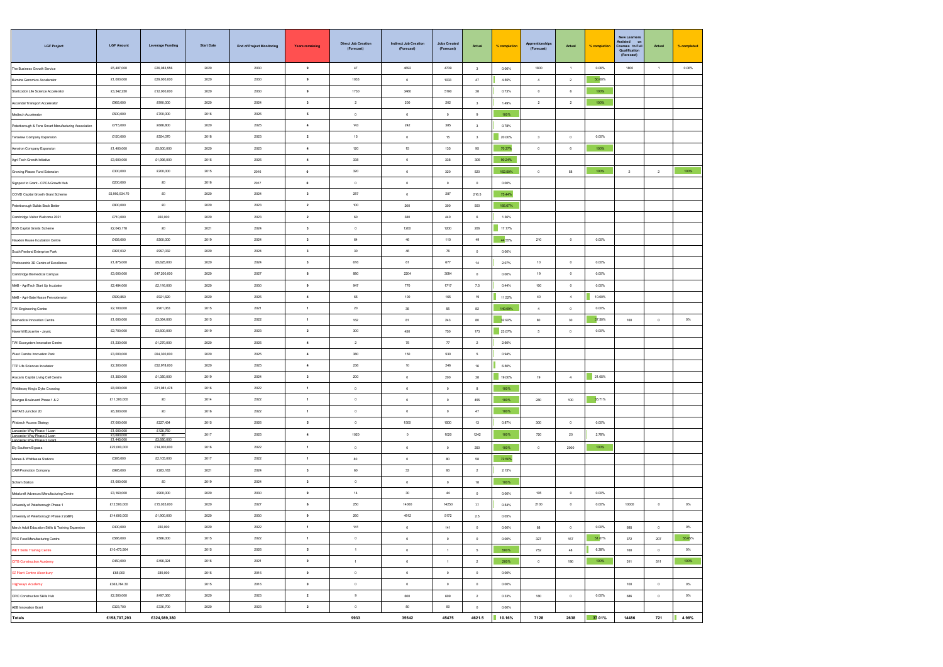| <b>LGF Project</b>                                                                   | <b>LGF Amount</b>                   | <b>Leverage Funding</b> | <b>Start Date</b> | <b>End of Project Monitoring</b> | <b>Years remaining</b>  | <b>Direct Job Creation</b><br>(Forecast) | <b>Indirect Job Creation</b><br>(Forecast) | <b>Jobs Created</b><br>(Forecast) | Actual                  | % completion | <b>Apprenticeship</b><br>(Forecast) | Actual         | % completion | <b>New Learners</b><br>Assisted or<br>Courses to Fu<br>Qualification<br>(Forecast) | Actual               | % completed |
|--------------------------------------------------------------------------------------|-------------------------------------|-------------------------|-------------------|----------------------------------|-------------------------|------------------------------------------|--------------------------------------------|-----------------------------------|-------------------------|--------------|-------------------------------------|----------------|--------------|------------------------------------------------------------------------------------|----------------------|-------------|
| The Business Growth Service                                                          | £5,407,000                          | £26,083,556             | 2020              | 2030                             | 9                       | 47                                       | 4692                                       | 4739                              | $\overline{\mathbf{3}}$ | 0.06%        | 1800                                | $\overline{1}$ | 0.06%        | 1800                                                                               | $\overline{1}$       | 0.06%       |
| Illumina Genomics Accelerator                                                        | £1,000,000                          | £29,000,000             | 2020              | 2030                             | 9                       | 1033                                     | $^{\circ}$                                 | 1033                              | 47                      | 4.55%        | $\ddot{a}$                          | $\overline{2}$ | 50.00%       |                                                                                    |                      |             |
| Startcodon Life Science Accelerator                                                  | £3,342,250                          | £12,000,000             | 2020              | 2030                             | $\mathbf s$             | 1730                                     | 3460                                       | 5190                              | 38                      | 0.73%        | $\,$ 0 $\,$                         | $_{\rm 6}$     | 100%         |                                                                                    |                      |             |
| Ascendal Transport Accelerator                                                       | £965,000                            | £990,000                | 2020              | 2024                             | $\mathbf 3$             | $\overline{2}$                           | $200\,$                                    | $202\,$                           | $\mathbf{3}$            | 1.49%        | $\,$ 2 $\,$                         | $\,$ 2 $\,$    | 100%         |                                                                                    |                      |             |
| Medtech Accelerator                                                                  | £500,000                            | £700,000                | 2016              | 2026                             | $\mathbf{s}$            | $\,$ 0 $\,$                              | $\,$ 0 $\,$                                | $\,$ 0                            | $_{9}$                  | 100%         |                                     |                |              |                                                                                    |                      |             |
| Peterborough & Fens Smart Manufacturing Association                                  | £715,000                            | £688,800                | 2020              | 2025                             | $\overline{4}$          | 143                                      | 242                                        | 385                               | $\overline{\mathbf{3}}$ | 0.78%        |                                     |                |              |                                                                                    |                      |             |
| Teraview Company Expansion                                                           | £120,000                            | £554,070                | 2018              | 2023                             | $\overline{2}$          | 15                                       | $^{\circ}$                                 | 15                                | $\overline{\mathbf{3}}$ | 20.00%       | $\mathbf{3}$                        | $^{\circ}$     | 0.00%        |                                                                                    |                      |             |
| Aerotron Company Expansion                                                           | £1,400,000                          | £5,600,000              | 2020              | 2025                             | $\blacktriangleleft$    | $120\,$                                  | 15                                         | 135                               | 95                      | 70.37%       | $\circ$                             | 6              | 100%         |                                                                                    |                      |             |
| Agri-Tech Growth Initiative                                                          | £3,600,000                          | £1,996,000              | 2015              | 2025                             | $\,$ 4 $\,$             | 338                                      | $\,$ 0 $\,$                                | 338                               | 305                     | 90.24%       |                                     |                |              |                                                                                    |                      |             |
| Growing Places Fund Extension                                                        | £300,000                            | £200,000                | 2015              | 2016                             | $\pmb{0}$               | 320                                      | $\,$ 0 $\,$                                | $320\,$                           | 520                     | 162.50%      | $\,$ 0                              | 58             | 100%         | $\sqrt{2}$                                                                         | $\overline{2}$       | 100%        |
| Signpost to Grant - CPCA Growth Hub                                                  | £200,000                            | £0                      | 2016              | 2017                             | $\circ$                 | $\circ$                                  | $^{\circ}$                                 | $\overline{0}$                    | $^{\circ}$              | 0.00%        |                                     |                |              |                                                                                    |                      |             |
| COVID Capital Growth Grant Scheme                                                    | £5,993,934.70                       | £0                      | 2020              | 2024                             | $\overline{\mathbf{3}}$ | 287                                      | $^{\circ}$                                 | 287                               | 216.5                   | 75.44%       |                                     |                |              |                                                                                    |                      |             |
| Peterborough Builds Back Better                                                      | £800,000                            | $\pounds 0$             | 2020              | 2023                             | $\overline{\mathbf{2}}$ | $100\,$                                  | 200                                        | 300                               | 500                     | 166.67%      |                                     |                |              |                                                                                    |                      |             |
| Cambridge Visitor Welcome 2021                                                       | £710,000                            | £60,000                 | 2020              | 2023                             | $\mathbf{2}$            | 60                                       | 380                                        | 440                               | 6                       | 1.36%        |                                     |                |              |                                                                                    |                      |             |
| <b>BGS Capital Grants Scheme</b>                                                     | £2,043,178                          | £0                      | 2021              | 2024                             | $\mathbf{3}$            | $\circ$                                  | 1200                                       | 1200                              | 206                     | 17.17%       |                                     |                |              |                                                                                    |                      |             |
| Hauxton House Incubation Centre                                                      | £438,000                            | £500,000                | 2019              | 2024                             | $\mathbf{3}$            | $_{64}$                                  | 46                                         | 110                               | 49                      | 44.55%       | 210                                 | $\circ$        | 0.00%        |                                                                                    |                      |             |
| South Fenland Enterprise Park                                                        | £997,032                            | £997,032                | 2020              | 2024                             | $\overline{\mathbf{3}}$ | 30                                       | 46                                         | 76                                | $\circ$                 | 0.00%        |                                     |                |              |                                                                                    |                      |             |
| Photocentric 3D Centre of Excellence                                                 | £1,875,000                          | £5,625,000              | 2020              | 2024                             | $\mathbf{3}$            | 616                                      | 61                                         | 677                               | 14                      | 2.07%        | 10                                  | $\,0\,$        | 0.00%        |                                                                                    |                      |             |
| Cambridge Biomedical Campus                                                          | £3,000,000                          | £47,200,000             | 2020              | 2027                             | $\bf 6$                 | 880                                      | 2204                                       | 3084                              | $\,$ 0 $\,$             | 0.00%        | 19                                  | $\,$ 0 $\,$    | 0.00%        |                                                                                    |                      |             |
| NIAB - AgriTech Start Up Incubator                                                   | £2,484,000                          | £2,116,000              | 2020              | 2030                             | $\mathbf s$             | 947                                      | 770                                        | 1717                              | 7.5                     | 0.44%        | 100                                 | $\overline{0}$ | 0.00%        |                                                                                    |                      |             |
| NIAB - Agri-Gate Hasse Fen extension                                                 | £599,850                            | £921,620                | 2020              | 2025                             | $\overline{4}$          | 65                                       | 100                                        | 165                               | 19                      | 11.52%       | 40                                  | $\overline{4}$ | 10.00%       |                                                                                    |                      |             |
| TWI Engineering Centre                                                               | £2,100,000                          | £901,063                | 2015              | 2021                             | $\mathbf{1}$            | 20                                       | 35                                         | 55                                | 82                      | 149.09%      | $\sim$                              | $^{\circ}$     | 0.00%        |                                                                                    |                      |             |
| Biomedical Innovation Centre                                                         | £1,000,000                          | £3,064,000              | 2015              | 2022                             | 1                       | 162                                      | 81                                         | 243                               | 80                      | 32.92%       | 80                                  | 30             | 37.50%       | 160                                                                                | $\overline{0}$       | 0%          |
| Haverhill Epicentre - Jaynic                                                         | £2,700,000                          | £3,600,000              | 2019              | 2023                             | $\mathbf{2}$            | $300\,$                                  | 450                                        | 750                               | 173                     | 23.07%       | $\sim$                              | $\circ$        | 0.00%        |                                                                                    |                      |             |
| TWI Ecosystem Innovation Centre                                                      | £1,230,000                          | £1,270,000              | 2020              | 2025                             | $\boldsymbol{4}$        | $\overline{2}$                           | 75                                         | 77                                | $\,$ 2 $\,$             | 2.60%        |                                     |                |              |                                                                                    |                      |             |
| West Cambs Innovation Park                                                           | £3,000,000                          | £64.300.000             | 2020              | 2025                             | $\sim$                  | 380                                      | 150                                        | 530                               | 5                       | 0.94%        |                                     |                |              |                                                                                    |                      |             |
| TTP Life Sciences Incubator                                                          | £2,300,000                          | £52,978,000             | 2020              | 2025                             | $\overline{4}$          | 236                                      | 10                                         | 246                               | $16\,$                  | 6.50%        |                                     |                |              |                                                                                    |                      |             |
| Aracaris Capital Living Cell Centre                                                  | £1,350,000                          | £1,350,000              | 2019              | 2024                             | $\mathbf{3}$            | 200                                      | $^{\circ}$                                 | 200                               | 38                      | 19.00%       | 19                                  | $\sim$         | 21.05%       |                                                                                    |                      |             |
| Whittlesey King's Dyke Crossing                                                      | £8,000,000                          | £21,981,478             | 2016              | 2022                             | $\,$ 1 $\,$             | $\,$ 0 $\,$                              | $\,$ 0 $\,$                                | $\circ$                           | 8                       | 100%         |                                     |                |              |                                                                                    |                      |             |
| Bourges Boulevard Phase 1 & 2                                                        | £11,300,000                         | £0                      | 2014              | 2022                             | $\,$ 1 $\,$             | $\,$ 0                                   | $\,$ 0 $\,$                                | $\,$ 0 $\,$                       | 455                     | 100%         | 280                                 | 100            | 35.71%       |                                                                                    |                      |             |
| A47/A15 Junction 20                                                                  | £6,300,000                          | E0                      | 2016              | 2022                             | $\mathbf{1}$            | $\overline{0}$                           | $^{\circ}$                                 | $\overline{0}$                    | 47                      | 100%         |                                     |                |              |                                                                                    |                      |             |
| Wisbech Access Stategy                                                               | £7,000,000                          | £227,434                | 2015              | 2026                             | 5                       | $\circ$                                  | 1500                                       | 1500                              | 13                      | 0.87%        | 300                                 | $^{\circ}$     | 0.00%        |                                                                                    |                      |             |
| Lancaster Way Phase 1 Loan<br>Lancaster Way Phase 2 Loan<br>Lancaster Way Phase 2 Gr | £1,000,000<br>£3,680,<br>£1,445,000 | £126,760<br>£3,680,000  | 2017              | 2025                             | $\overline{4}$          | 1020                                     | $\circ$                                    | 1020                              | 1242                    | 100%         | 720                                 | 20             | 2.78%        |                                                                                    |                      |             |
| Ely Southern Bypass                                                                  | £22,000,000                         | £14,000,000             | 2016              | 2022                             | 1                       | $\circ$                                  | $^{\circ}$                                 | $\overline{0}$                    | 250                     | 100%         | $^{\circ}$                          | 2000           | 100%         |                                                                                    |                      |             |
| Manea & Whittlesea Stations                                                          | £396,000                            | £2,105,000              | 2017              | 2022                             | $\,$ 1 $\,$             | 80                                       | $\circ$                                    | 80                                | 58                      | 72.50%       |                                     |                |              |                                                                                    |                      |             |
| CAM Promotion Company                                                                | £995,000                            | £283,183                | 2021              | 2024                             | $\mathbf{3}$            | 60                                       | $33\,$                                     | $_{93}$                           | $\,$ 2 $\,$             | 2.15%        |                                     |                |              |                                                                                    |                      |             |
| Soham Station                                                                        | £1,000,000                          | £0                      | 2019              | 2024                             | $\mathbf{3}$            | $\circ$                                  | $\,$ 0 $\,$                                | $\overline{0}$                    | 18                      | 100%         |                                     |                |              |                                                                                    |                      |             |
| Metalcraft Advanced Manufacturing Centre                                             | £3,160,000                          | £900,000                | 2020              | 2030                             | 9                       | 14                                       | 30                                         | 44                                | $^{\circ}$              | 0.00%        | 105                                 | $\circ$        | 0.00%        |                                                                                    |                      |             |
| University of Peterborough Phase 1                                                   | £12,500,000                         | £15,035,000             | 2020              | 2027                             | 6                       | 250                                      | 14000                                      | 14250                             | 77                      | 0.54%        | 2100                                | $\circ$        | 0.00%        | 10000                                                                              | $^{\circ}$           | $0\%$       |
| University of Peterborough Phase 2 (GBF)                                             | £14,600,000                         | £1,900,000              | 2020              | 2030                             | $\pmb{9}$               | 260                                      | 4912                                       | 5172                              | 2.5                     | 0.05%        |                                     |                |              |                                                                                    |                      |             |
| March Adult Education Skills & Training Expansion                                    | £400.000                            | £50,000                 | 2020              | 2022                             | $\mathbf{1}$            | 141                                      | $^{\circ}$                                 | 141                               | $^{\circ}$              | 0.00%        | 68                                  | $^{\circ}$     | 0.00%        | 695                                                                                | $\overline{0}$       | $0\%$       |
| PRC Food Manufacturing Centre                                                        | £586,000                            | £586,000                | 2015              | 2022                             | $\mathbf{1}$            | $\circ$                                  | $\circ$                                    | $\overline{0}$                    | $\circ$                 | 0.00%        | 327                                 | 167            | 51.07%       | 372                                                                                | 207                  | 55.65%      |
| MET Skills Training Centre                                                           | £10,473,564                         |                         | 2015              | 2026                             | $\mathbf{s}$            | 1                                        | $\circ$                                    | $1 -$                             | 5                       | 500%         | 752                                 | 48             | 6.38%        | 160                                                                                | $\ddot{\phantom{0}}$ | 0%          |
| CITB Construction Academy                                                            | £450,000                            | £496,324                | 2016              | 2021                             | $\bullet$               | $1 -$                                    | $\circ$                                    | $1 -$                             | $\overline{2}$          | 200%         | $\ddot{\phantom{0}}$                | 190            | 100%         | 511                                                                                | 511                  | 100%        |
| <b>EZ Plant Centre Alconbury</b>                                                     | £65,000                             | £89,000                 | 2015              | 2016                             | $\bullet$               | $\,$ 0 $\,$                              | $\,$ 0 $\,$                                | $\bullet$                         | $\,$ 0 $\,$             | 0.00%        |                                     |                |              |                                                                                    |                      |             |
| <b>Highways Academy</b>                                                              | £363,784.30                         |                         | 2015              | 2016                             | $\bullet$               | $\,$ 0 $\,$                              | $\mathbb O$                                | $\bullet$                         | $\,$ 0 $\,$             | 0.00%        |                                     |                |              | $100\,$                                                                            | $\overline{0}$       | 0%          |
| CRC Construction Skills Hub                                                          | £2,500,000                          | £497,360                | 2020              | 2023                             | $\overline{\mathbf{2}}$ | 9                                        | 600                                        | 609                               | $\overline{2}$          | 0.33%        | 180                                 | $\circ$        | 0.00%        | 686                                                                                | $\overline{0}$       | 0%          |
| AEB Innovation Grant                                                                 | £323,700                            | £336,700                | 2020              | 2023                             | $\overline{\mathbf{2}}$ | $\circ$                                  | 50                                         | 50                                | $\circ$                 | 0.00%        |                                     |                |              |                                                                                    |                      |             |
| <b>Totals</b>                                                                        | £158,707,293                        | £324,989,380            |                   |                                  |                         | 9933                                     | 35542                                      | 45475                             | 4621.5                  | 10.16%       | 7128                                | 2638           | 37.01%       | 14486                                                                              | 721                  | 4.98%       |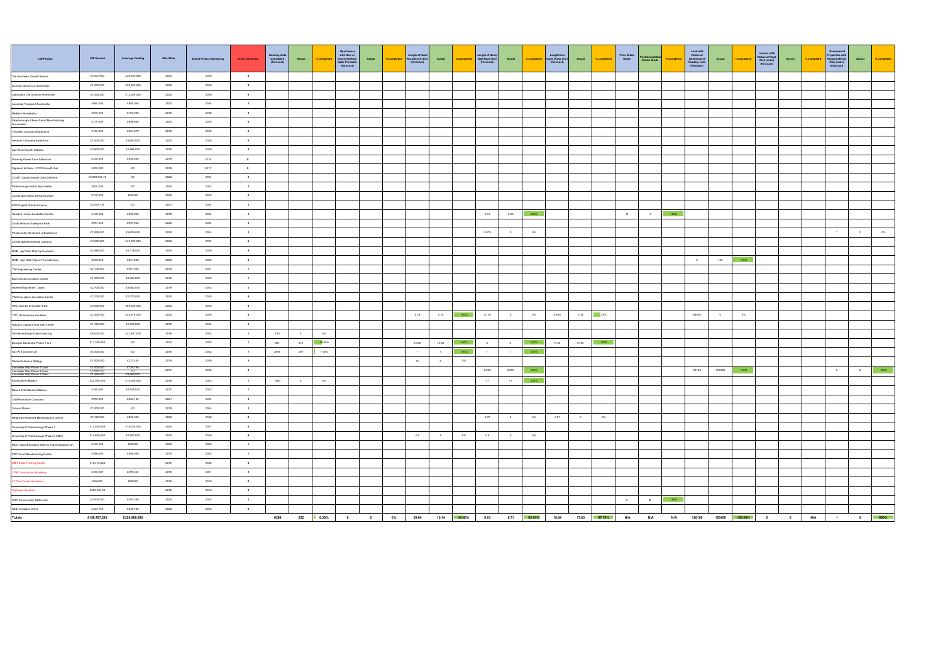| LGF Project                                                                             | <b>LGF Amount</b>                      | <b>Leverage Funding</b>              | <b>Start Date</b> | <b>End of Project Monitoring</b> | <b>Years remaining</b>   | Housing Units<br>Completed<br>(Forecast) | Actual  | %complete   | New Homes<br>with New or<br>Improved Fibre<br>Optic Provision<br>(Forecast) | Actual    | % completed | Length of Road<br>Resurfaced (km)<br>(Forecast) | Actual     | %completed   | Length of Newly<br>Built Road (km)<br>(Forecast) | Actual        | % completed | Langth New<br>Cycle Ways (km)<br>(Forecast) | Actual | %completes   | Prior Estate<br>Grade | Post Completion<br>Estate Orade |            | Land with<br>Reduced<br>Likelihood of<br>Rooding (m2)<br>(Forecast) | Actual | %complet       | Homas with<br>Reduced Flood<br>Risk (units)<br>(Forecast) | Actual    | % complete | Commerical<br>Properties with<br>Reduced Rood<br>Risk (units)<br>(Forecast) | Actual<br>% completed |
|-----------------------------------------------------------------------------------------|----------------------------------------|--------------------------------------|-------------------|----------------------------------|--------------------------|------------------------------------------|---------|-------------|-----------------------------------------------------------------------------|-----------|-------------|-------------------------------------------------|------------|--------------|--------------------------------------------------|---------------|-------------|---------------------------------------------|--------|--------------|-----------------------|---------------------------------|------------|---------------------------------------------------------------------|--------|----------------|-----------------------------------------------------------|-----------|------------|-----------------------------------------------------------------------------|-----------------------|
| The Business Growth Service                                                             | £5,407,000                             | £26,083,556                          | 2020              | 2030                             | $\bullet$                |                                          |         |             |                                                                             |           |             |                                                 |            |              |                                                  |               |             |                                             |        |              |                       |                                 |            |                                                                     |        |                |                                                           |           |            |                                                                             |                       |
| Illumina Genomics Accelerator                                                           | £1,000,000                             | £29,000,000                          | 2020              | 2030                             | $\bullet$                |                                          |         |             |                                                                             |           |             |                                                 |            |              |                                                  |               |             |                                             |        |              |                       |                                 |            |                                                                     |        |                |                                                           |           |            |                                                                             |                       |
| Startcodon Life Science Accelerator                                                     | £3,342,250                             | £12,000,000                          | 2020              | 2030                             | $\bullet$                |                                          |         |             |                                                                             |           |             |                                                 |            |              |                                                  |               |             |                                             |        |              |                       |                                 |            |                                                                     |        |                |                                                           |           |            |                                                                             |                       |
| Ascendal Transport Accelerator                                                          | £965,000                               | £990,000                             | 2020              | 2024                             | $\overline{\mathbf{3}}$  |                                          |         |             |                                                                             |           |             |                                                 |            |              |                                                  |               |             |                                             |        |              |                       |                                 |            |                                                                     |        |                |                                                           |           |            |                                                                             |                       |
| Meditech Accelerator                                                                    | £500,000                               | £700,000                             | 2016              | 2026                             | $\sim$                   |                                          |         |             |                                                                             |           |             |                                                 |            |              |                                                  |               |             |                                             |        |              |                       |                                 |            |                                                                     |        |                |                                                           |           |            |                                                                             |                       |
| Peterborough & Fens Smart Manufacturing<br>Association                                  | £715,000                               | £688,800                             | 2020              | 2025                             | $\sim$                   |                                          |         |             |                                                                             |           |             |                                                 |            |              |                                                  |               |             |                                             |        |              |                       |                                 |            |                                                                     |        |                |                                                           |           |            |                                                                             |                       |
| Teraview Company Expansio                                                               | £120,000                               | £554,070                             | 2018              | 2023                             | $2 -$                    |                                          |         |             |                                                                             |           |             |                                                 |            |              |                                                  |               |             |                                             |        |              |                       |                                 |            |                                                                     |        |                |                                                           |           |            |                                                                             |                       |
| Aerotron Company Expansion                                                              | £1,400,000                             | £5,600,000                           | 2020              | 2025                             | $4 -$                    |                                          |         |             |                                                                             |           |             |                                                 |            |              |                                                  |               |             |                                             |        |              |                       |                                 |            |                                                                     |        |                |                                                           |           |            |                                                                             |                       |
| Agri-Tech Growth Initiative                                                             | £3,600,000                             | £1,996,000                           | 2015              | 2025                             | $4 -$                    |                                          |         |             |                                                                             |           |             |                                                 |            |              |                                                  |               |             |                                             |        |              |                       |                                 |            |                                                                     |        |                |                                                           |           |            |                                                                             |                       |
| Growing Places Fund Extension                                                           | £300,000                               | £200,000                             | 2015              | 2016                             | $^{\circ}$               |                                          |         |             |                                                                             |           |             |                                                 |            |              |                                                  |               |             |                                             |        |              |                       |                                 |            |                                                                     |        |                |                                                           |           |            |                                                                             |                       |
| Signpost to Grant - CPCA Growth Hub                                                     | £200,000                               | £0                                   | 2016              | 2017                             | $\bullet$                |                                          |         |             |                                                                             |           |             |                                                 |            |              |                                                  |               |             |                                             |        |              |                       |                                 |            |                                                                     |        |                |                                                           |           |            |                                                                             |                       |
| COVID Capital Growth Grant Scheme                                                       | £5,993,934.70                          | \$0                                  | 2020              | 2024                             | $\sim$                   |                                          |         |             |                                                                             |           |             |                                                 |            |              |                                                  |               |             |                                             |        |              |                       |                                 |            |                                                                     |        |                |                                                           |           |            |                                                                             |                       |
| Peterborough Builds Back Better                                                         | £800,000                               | EQ                                   | 2020              | 2023                             | $2 -$                    |                                          |         |             |                                                                             |           |             |                                                 |            |              |                                                  |               |             |                                             |        |              |                       |                                 |            |                                                                     |        |                |                                                           |           |            |                                                                             |                       |
| Cambridge Visitor Welcome 2021                                                          | £710,000                               | £60,000                              | 2020              | 2023                             | $\sim$ 2 $-$             |                                          |         |             |                                                                             |           |             |                                                 |            |              |                                                  |               |             |                                             |        |              |                       |                                 |            |                                                                     |        |                |                                                           |           |            |                                                                             |                       |
| BGS Capital Grants Scheme                                                               | £2,043,178                             | £0                                   | 2021              | 2024                             | $3 -$                    |                                          |         |             |                                                                             |           |             |                                                 |            |              |                                                  |               |             |                                             |        |              |                       |                                 |            |                                                                     |        |                |                                                           |           |            |                                                                             |                       |
| Hauston House Incubation Centre                                                         | £438,000                               | £500,000                             | 2019              | 2024                             | $\overline{\mathbf{3}}$  |                                          |         |             |                                                                             |           |             |                                                 |            |              | 0.01                                             | 0.05          | 500%        |                                             |        |              | D                     | A                               | 100%       |                                                                     |        |                |                                                           |           |            |                                                                             |                       |
| South Fenland Enterprise Park                                                           | £997.032                               | £997,032                             | 2020              | 2024                             | $\sim$                   |                                          |         |             |                                                                             |           |             |                                                 |            |              |                                                  |               |             |                                             |        |              |                       |                                 |            |                                                                     |        |                |                                                           |           |            |                                                                             |                       |
| Photocentric 3D Centre of Excellence                                                    | £1,875,000                             | £5,625,000                           | 2020              | 2024                             | $\sim$                   |                                          |         |             |                                                                             |           |             |                                                 |            |              | 0.075                                            | $\circ$       | $0\%$       |                                             |        |              |                       |                                 |            |                                                                     |        |                |                                                           |           |            | $\mathbf{1}$                                                                | $\circ$<br>$0\%$      |
| Cambridge Biomedical Campus                                                             | £3,000,000                             | £47,200,000                          | 2020              | 2027                             | $\ddot{\phantom{1}}$     |                                          |         |             |                                                                             |           |             |                                                 |            |              |                                                  |               |             |                                             |        |              |                       |                                 |            |                                                                     |        |                |                                                           |           |            |                                                                             |                       |
| NIAB - AgriTech Start Up Incubator                                                      | £2,484,000                             | £2,116,000                           | 2020              | 2030                             | $\bullet$                |                                          |         |             |                                                                             |           |             |                                                 |            |              |                                                  |               |             |                                             |        |              |                       |                                 |            |                                                                     |        |                |                                                           |           |            |                                                                             |                       |
| NIAB - Agri-Gate Hasse Fen extension                                                    | £599,850                               | £921,620                             | 2020              | 2025                             | $\sim$                   |                                          |         |             |                                                                             |           |             |                                                 |            |              |                                                  |               |             |                                             |        |              |                       |                                 |            | $\circ$                                                             | 150    | 100%           |                                                           |           |            |                                                                             |                       |
| <b>TWI Engineering Centre</b>                                                           | £2,100,000                             | £901,063                             | 2015              | 2021                             | $\overline{1}$           |                                          |         |             |                                                                             |           |             |                                                 |            |              |                                                  |               |             |                                             |        |              |                       |                                 |            |                                                                     |        |                |                                                           |           |            |                                                                             |                       |
| Biomedical Innovation Centre                                                            | £1,000,000                             | £3,064,000                           | 2015              | 2022                             | $\sim$                   |                                          |         |             |                                                                             |           |             |                                                 |            |              |                                                  |               |             |                                             |        |              |                       |                                 |            |                                                                     |        |                |                                                           |           |            |                                                                             |                       |
| Haverhill Epicentre - Jaynic                                                            | £2,700,000                             | £3,600,000                           | 2019              | 2023                             | $\sim$ $2-$              |                                          |         |             |                                                                             |           |             |                                                 |            |              |                                                  |               |             |                                             |        |              |                       |                                 |            |                                                                     |        |                |                                                           |           |            |                                                                             |                       |
| TWI Ecosystem Innovation Centre                                                         | £1,230,000                             | £1,270,000                           | 2020              | 2025                             | $4 -$                    |                                          |         |             |                                                                             |           |             |                                                 |            |              |                                                  |               |             |                                             |        |              |                       |                                 |            |                                                                     |        |                |                                                           |           |            |                                                                             |                       |
| West Cambs Innovation Park                                                              | £3,000,000                             | £64,300,000                          | 2020              | 2025                             | $4 -$                    |                                          |         |             |                                                                             |           |             |                                                 |            |              |                                                  |               |             |                                             |        |              |                       |                                 |            |                                                                     |        |                |                                                           |           |            |                                                                             |                       |
| TTP Life Sciences Incubator                                                             | £2,300,000                             | £52,978,000                          | 2020              | 2025                             | $4 -$                    |                                          |         |             |                                                                             |           |             | 0.18                                            | 0.18       | 100%         | 0.716                                            | $\sim$        | $0\%$       | 0.516                                       | 0.18   | 35%          |                       |                                 |            | 84000                                                               | $\sim$ | $0\%$          |                                                           |           |            |                                                                             |                       |
| Aracaris Capital Living Cell Centre                                                     | £1,350,000                             | £1,350,000                           | 2019              | 2024                             | $\overline{\mathbf{3}}$  |                                          |         |             |                                                                             |           |             |                                                 |            |              |                                                  |               |             |                                             |        |              |                       |                                 |            |                                                                     |        |                |                                                           |           |            |                                                                             |                       |
| Whitflesey King's Dyke Crossing                                                         | £8,000,000                             | £21,981,478                          | 2016              | 2022                             | $\mathbf{1}$             | 740                                      | $\circ$ | $_{0\%}$    |                                                                             |           |             |                                                 |            |              |                                                  |               |             |                                             |        |              |                       |                                 |            |                                                                     |        |                |                                                           |           |            |                                                                             |                       |
| <b>Bourges Boulevard Phase 1 &amp; 2</b>                                                | £11,300,000                            | £0                                   | 2014              | 2022                             | 1                        | 801                                      | 313     | 39.08%      |                                                                             |           |             | 14.96                                           | 14.96      | 100%         | $\overline{\mathbf{3}}$                          | 3             | 100%        | 17.45                                       | 17.45  | 100%         |                       |                                 |            |                                                                     |        |                |                                                           |           |            |                                                                             |                       |
| A47/A15 Junction 20                                                                     | £6,300,000                             | \$0                                  | 2016              | 2022                             | $-1$                     | 2945                                     | 209     | 7.10%       |                                                                             |           |             | $\sim$                                          | $\sim$     | $-100%$      | $\rightarrow$                                    | $\rightarrow$ | 100%        |                                             |        |              |                       |                                 |            |                                                                     |        |                |                                                           |           |            |                                                                             |                       |
| Wisbech Access Stategy                                                                  | £7,000,000                             | £227,434                             | 2015              | 2026                             | $\sim$                   |                                          |         |             |                                                                             |           |             | 13                                              | $^{\circ}$ | 0%           |                                                  |               |             |                                             |        |              |                       |                                 |            |                                                                     |        |                |                                                           |           |            |                                                                             |                       |
| Lancaster Wav Phase 1 Loan<br>Lancaster Wav Phase 2 Loan<br>Lancaster Wav Phase 2 Grant | £1,000,000<br>£3,680,000<br>£1,445,000 | £126,760                             | 2017              | 2025                             | $\overline{4}$           |                                          |         |             |                                                                             |           |             |                                                 |            |              | 0.955                                            | 0.955         | 100%        |                                             |        |              |                       |                                 |            | 42100                                                               | 155300 | 100%           |                                                           |           |            | $\circ$                                                                     | 8                     |
| Ely Southern Bypass                                                                     | £22,000,000                            | $$^{E0}_{E3,680,000}$<br>£14,000,000 | 2016              | 2022                             | $\overline{1}$           | 1800                                     | $\circ$ | $0\%$       |                                                                             |           |             |                                                 |            |              | 1.7                                              | 1.7           | 100%        |                                             |        |              |                       |                                 |            |                                                                     |        |                |                                                           |           |            |                                                                             |                       |
| Manea & Whittlesea Stations                                                             | £395,000                               | £2,105,000                           | 2017              | 2022                             | $\sim$                   |                                          |         |             |                                                                             |           |             |                                                 |            |              |                                                  |               |             |                                             |        |              |                       |                                 |            |                                                                     |        |                |                                                           |           |            |                                                                             |                       |
| CAM Promotion Company                                                                   | £995,000                               | £283,183                             | 2021              | 2024                             | $\overline{\phantom{a}}$ |                                          |         |             |                                                                             |           |             |                                                 |            |              |                                                  |               |             |                                             |        |              |                       |                                 |            |                                                                     |        |                |                                                           |           |            |                                                                             |                       |
| Soham Station                                                                           | £1,000,000                             | $\epsilon$ o                         | 2019              | 2024                             | $\,$ 3 $\,$              |                                          |         |             |                                                                             |           |             |                                                 |            |              |                                                  |               |             |                                             |        |              |                       |                                 |            |                                                                     |        |                |                                                           |           |            |                                                                             |                       |
| Metalcraft Advanced Manufacturing Centre                                                | £3,160,000                             | £900,000                             | 2020              | 2030                             | $\bullet$                |                                          |         |             |                                                                             |           |             |                                                 |            |              | 0.07                                             | $\sim$        | $0\%$       | 0.07                                        | $\sim$ | $0\%$        |                       |                                 |            |                                                                     |        |                |                                                           |           |            |                                                                             |                       |
| University of Peterborough Phase 1                                                      | £12,500,000                            | £15,035,000                          | 2020              | 2027                             | 6                        |                                          |         |             |                                                                             |           |             |                                                 |            |              |                                                  |               |             |                                             |        |              |                       |                                 |            |                                                                     |        |                |                                                           |           |            |                                                                             |                       |
| University of Peterborough Phase 2 (GBF)                                                | £14,600,000                            | £1,900,000                           | 2020              | 2030                             | $\bullet$                |                                          |         |             |                                                                             |           |             | 0.5                                             | $\sim$     | 0%           | 0.5                                              | $\sim$        | $0\%$       |                                             |        |              |                       |                                 |            |                                                                     |        |                |                                                           |           |            |                                                                             |                       |
| March Adult Education Skills & Training Expansion                                       | £400,000                               | £50,000                              | 2020              | 2022                             | $\mathbf{1}$             |                                          |         |             |                                                                             |           |             |                                                 |            |              |                                                  |               |             |                                             |        |              |                       |                                 |            |                                                                     |        |                |                                                           |           |            |                                                                             |                       |
|                                                                                         | £586,000                               | £586,000                             | 2015              | 2022                             | $\overline{1}$           |                                          |         |             |                                                                             |           |             |                                                 |            |              |                                                  |               |             |                                             |        |              |                       |                                 |            |                                                                     |        |                |                                                           |           |            |                                                                             |                       |
| PRC Food Manufacturing Centre<br><b>MET Skills Training Centre</b>                      | £10,473,564                            |                                      | 2015              | 2026                             | $\sim$                   |                                          |         |             |                                                                             |           |             |                                                 |            |              |                                                  |               |             |                                             |        |              |                       |                                 |            |                                                                     |        |                |                                                           |           |            |                                                                             |                       |
| CITB Construction Academy                                                               | £450,000                               | £496,324                             | 2016              | 2021                             | $\bullet$                |                                          |         |             |                                                                             |           |             |                                                 |            |              |                                                  |               |             |                                             |        |              |                       |                                 |            |                                                                     |        |                |                                                           |           |            |                                                                             |                       |
| E2 Plant Centre Alconbury                                                               | £65,000                                | £89,000                              | 2015              | 2016                             | $\bullet$                |                                          |         |             |                                                                             |           |             |                                                 |            |              |                                                  |               |             |                                             |        |              |                       |                                 |            |                                                                     |        |                |                                                           |           |            |                                                                             |                       |
| <b>Highways Academy</b>                                                                 | £363,784.30                            |                                      | 2015              | 2016                             | $\bullet$                |                                          |         |             |                                                                             |           |             |                                                 |            |              |                                                  |               |             |                                             |        |              |                       |                                 |            |                                                                     |        |                |                                                           |           |            |                                                                             |                       |
| CRC Construction Skills Hub                                                             | £2,500,000                             | £497,360                             | 2020              | 2023                             | $\sim$ $2$               |                                          |         |             |                                                                             |           |             |                                                 |            |              |                                                  |               |             |                                             |        |              | $\mathbb C$           | B                               | $100\%$    |                                                                     |        |                |                                                           |           |            |                                                                             |                       |
|                                                                                         | £323,700                               | £336,700                             | 2020              | 2023                             | $\sim$ 2                 |                                          |         |             |                                                                             |           |             |                                                 |            |              |                                                  |               |             |                                             |        |              |                       |                                 |            |                                                                     |        |                |                                                           |           |            |                                                                             |                       |
| AEB Innovation Grant<br>Totals                                                          | £158,707,293                           | £324,989,380                         |                   |                                  |                          | 6286                                     |         | 622   8.30% | $\overline{\mathbf{0}}$                                                     | $\bullet$ | $0\%$       | 29.64                                           |            | 16.14 54.45% | 8.03                                             | 6.71          | 83,54%      | 18.04                                       |        | 17.63 97.75% | <b>N/A</b>            | <b>N/A</b>                      | <b>N/A</b> | 126100                                                              |        | 155450 123.28% | $\bullet$                                                 | $\bullet$ | <b>N/A</b> | $-1$                                                                        | 8 800%                |